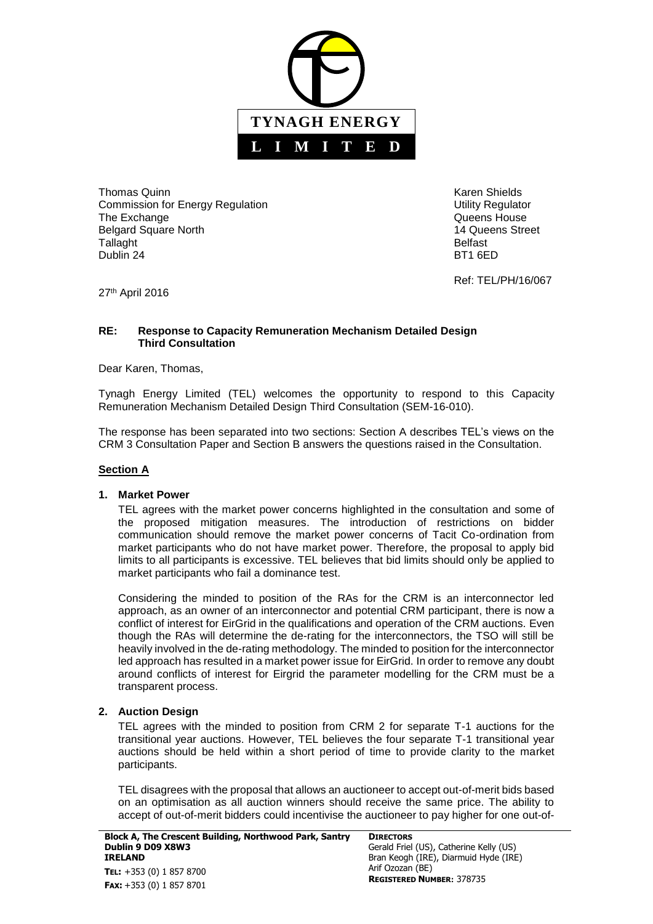

Thomas Quinn **Karen Shields Karen Shields Karen Shields** Commission for Energy Regulation **Network Commission** Utility Regulator The Exchange **The Exchange CONSISTENT CONSISTENT CONSISTENT Queens House** Belgard Square North 14 Queens Street Tallaght **Belfast** Dublin 24 BT1 6ED

Ref: TEL/PH/16/067

27th April 2016

#### **RE: Response to Capacity Remuneration Mechanism Detailed Design Third Consultation**

Dear Karen, Thomas,

Tynagh Energy Limited (TEL) welcomes the opportunity to respond to this Capacity Remuneration Mechanism Detailed Design Third Consultation (SEM-16-010).

The response has been separated into two sections: Section A describes TEL's views on the CRM 3 Consultation Paper and Section B answers the questions raised in the Consultation.

### **Section A**

#### **1. Market Power**

TEL agrees with the market power concerns highlighted in the consultation and some of the proposed mitigation measures. The introduction of restrictions on bidder communication should remove the market power concerns of Tacit Co-ordination from market participants who do not have market power. Therefore, the proposal to apply bid limits to all participants is excessive. TEL believes that bid limits should only be applied to market participants who fail a dominance test.

Considering the minded to position of the RAs for the CRM is an interconnector led approach, as an owner of an interconnector and potential CRM participant, there is now a conflict of interest for EirGrid in the qualifications and operation of the CRM auctions. Even though the RAs will determine the de-rating for the interconnectors, the TSO will still be heavily involved in the de-rating methodology. The minded to position for the interconnector led approach has resulted in a market power issue for EirGrid. In order to remove any doubt around conflicts of interest for Eirgrid the parameter modelling for the CRM must be a transparent process.

### **2. Auction Design**

TEL agrees with the minded to position from CRM 2 for separate T-1 auctions for the transitional year auctions. However, TEL believes the four separate T-1 transitional year auctions should be held within a short period of time to provide clarity to the market participants.

TEL disagrees with the proposal that allows an auctioneer to accept out-of-merit bids based on an optimisation as all auction winners should receive the same price. The ability to accept of out-of-merit bidders could incentivise the auctioneer to pay higher for one out-of-

**DIRECTORS** Gerald Friel (US), Catherine Kelly (US) Bran Keogh (IRE), Diarmuid Hyde (IRE) Arif Ozozan (BE) **REGISTERED NUMBER:** 378735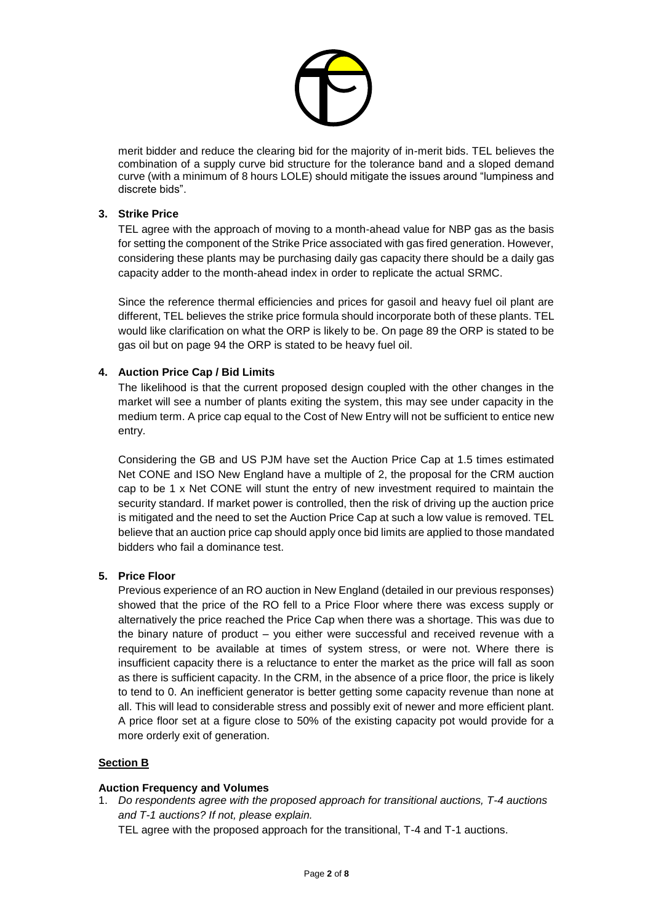

merit bidder and reduce the clearing bid for the majority of in-merit bids. TEL believes the combination of a supply curve bid structure for the tolerance band and a sloped demand curve (with a minimum of 8 hours LOLE) should mitigate the issues around "lumpiness and discrete bids".

### **3. Strike Price**

TEL agree with the approach of moving to a month-ahead value for NBP gas as the basis for setting the component of the Strike Price associated with gas fired generation. However, considering these plants may be purchasing daily gas capacity there should be a daily gas capacity adder to the month-ahead index in order to replicate the actual SRMC.

Since the reference thermal efficiencies and prices for gasoil and heavy fuel oil plant are different, TEL believes the strike price formula should incorporate both of these plants. TEL would like clarification on what the ORP is likely to be. On page 89 the ORP is stated to be gas oil but on page 94 the ORP is stated to be heavy fuel oil.

### **4. Auction Price Cap / Bid Limits**

The likelihood is that the current proposed design coupled with the other changes in the market will see a number of plants exiting the system, this may see under capacity in the medium term. A price cap equal to the Cost of New Entry will not be sufficient to entice new entry.

Considering the GB and US PJM have set the Auction Price Cap at 1.5 times estimated Net CONE and ISO New England have a multiple of 2, the proposal for the CRM auction cap to be 1 x Net CONE will stunt the entry of new investment required to maintain the security standard. If market power is controlled, then the risk of driving up the auction price is mitigated and the need to set the Auction Price Cap at such a low value is removed. TEL believe that an auction price cap should apply once bid limits are applied to those mandated bidders who fail a dominance test.

### **5. Price Floor**

Previous experience of an RO auction in New England (detailed in our previous responses) showed that the price of the RO fell to a Price Floor where there was excess supply or alternatively the price reached the Price Cap when there was a shortage. This was due to the binary nature of product – you either were successful and received revenue with a requirement to be available at times of system stress, or were not. Where there is insufficient capacity there is a reluctance to enter the market as the price will fall as soon as there is sufficient capacity. In the CRM, in the absence of a price floor, the price is likely to tend to 0. An inefficient generator is better getting some capacity revenue than none at all. This will lead to considerable stress and possibly exit of newer and more efficient plant. A price floor set at a figure close to 50% of the existing capacity pot would provide for a more orderly exit of generation.

### **Section B**

### **Auction Frequency and Volumes**

1. *Do respondents agree with the proposed approach for transitional auctions, T-4 auctions and T-1 auctions? If not, please explain.*

TEL agree with the proposed approach for the transitional, T-4 and T-1 auctions.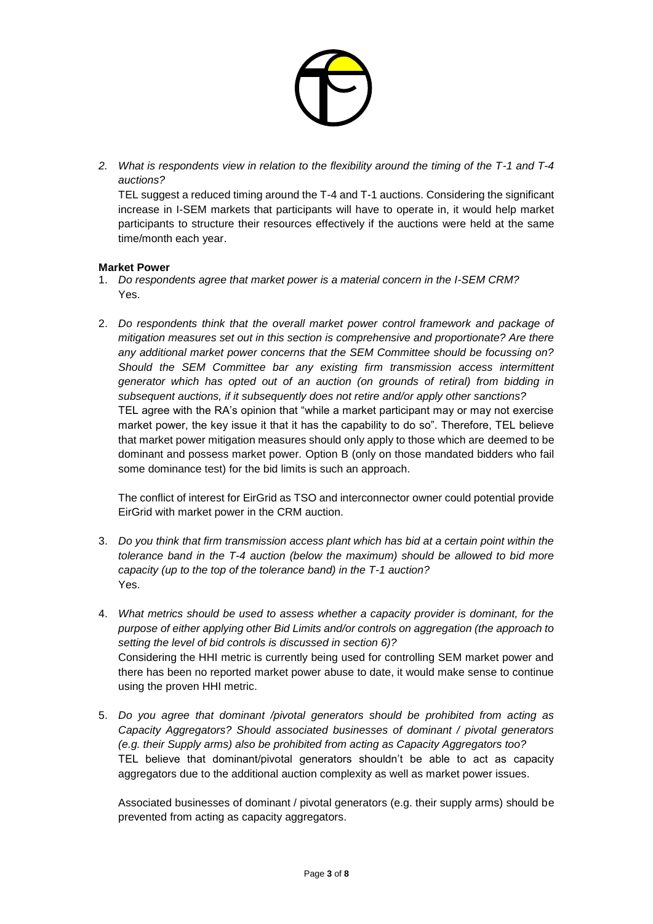

*2. What is respondents view in relation to the flexibility around the timing of the T-1 and T-4 auctions?*

TEL suggest a reduced timing around the T-4 and T-1 auctions. Considering the significant increase in I-SEM markets that participants will have to operate in, it would help market participants to structure their resources effectively if the auctions were held at the same time/month each year.

### **Market Power**

- 1. *Do respondents agree that market power is a material concern in the I-SEM CRM?*  Yes.
- 2. *Do respondents think that the overall market power control framework and package of mitigation measures set out in this section is comprehensive and proportionate? Are there any additional market power concerns that the SEM Committee should be focussing on? Should the SEM Committee bar any existing firm transmission access intermittent generator which has opted out of an auction (on grounds of retiral) from bidding in subsequent auctions, if it subsequently does not retire and/or apply other sanctions?* TEL agree with the RA's opinion that "while a market participant may or may not exercise market power, the key issue it that it has the capability to do so". Therefore, TEL believe that market power mitigation measures should only apply to those which are deemed to be dominant and possess market power. Option B (only on those mandated bidders who fail some dominance test) for the bid limits is such an approach.

The conflict of interest for EirGrid as TSO and interconnector owner could potential provide EirGrid with market power in the CRM auction.

- 3. *Do you think that firm transmission access plant which has bid at a certain point within the tolerance band in the T-4 auction (below the maximum) should be allowed to bid more capacity (up to the top of the tolerance band) in the T-1 auction?* Yes.
- 4. *What metrics should be used to assess whether a capacity provider is dominant, for the purpose of either applying other Bid Limits and/or controls on aggregation (the approach to setting the level of bid controls is discussed in section 6)?* Considering the HHI metric is currently being used for controlling SEM market power and there has been no reported market power abuse to date, it would make sense to continue using the proven HHI metric.
- 5. *Do you agree that dominant /pivotal generators should be prohibited from acting as Capacity Aggregators? Should associated businesses of dominant / pivotal generators (e.g. their Supply arms) also be prohibited from acting as Capacity Aggregators too?* TEL believe that dominant/pivotal generators shouldn't be able to act as capacity aggregators due to the additional auction complexity as well as market power issues.

Associated businesses of dominant / pivotal generators (e.g. their supply arms) should be prevented from acting as capacity aggregators.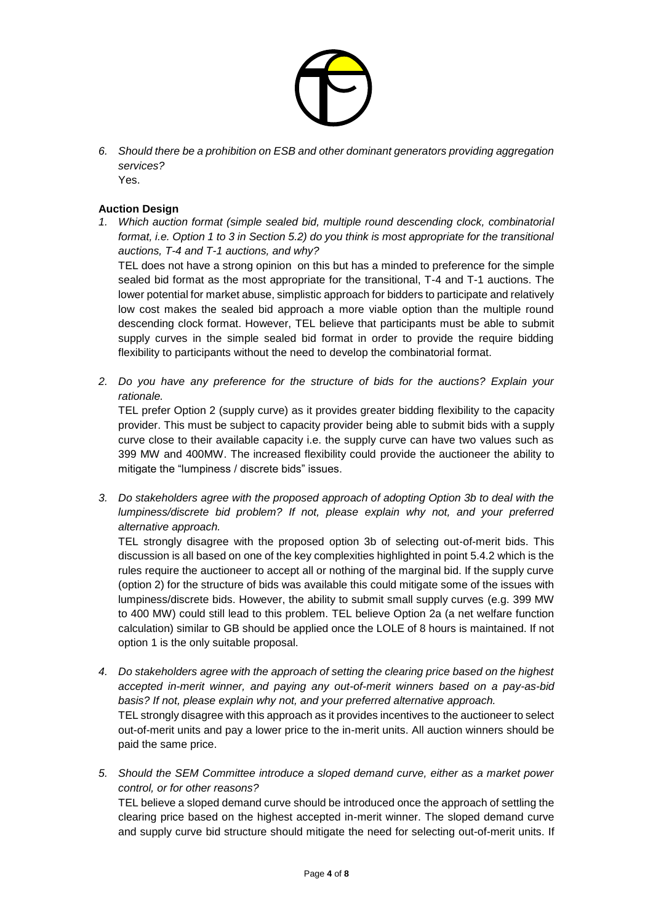

*6. Should there be a prohibition on ESB and other dominant generators providing aggregation services?*

Yes.

# **Auction Design**

*1. Which auction format (simple sealed bid, multiple round descending clock, combinatorial format, i.e. Option 1 to 3 in Section 5.2) do you think is most appropriate for the transitional auctions, T-4 and T-1 auctions, and why?*

TEL does not have a strong opinion on this but has a minded to preference for the simple sealed bid format as the most appropriate for the transitional, T-4 and T-1 auctions. The lower potential for market abuse, simplistic approach for bidders to participate and relatively low cost makes the sealed bid approach a more viable option than the multiple round descending clock format. However, TEL believe that participants must be able to submit supply curves in the simple sealed bid format in order to provide the require bidding flexibility to participants without the need to develop the combinatorial format.

*2. Do you have any preference for the structure of bids for the auctions? Explain your rationale.*

TEL prefer Option 2 (supply curve) as it provides greater bidding flexibility to the capacity provider. This must be subject to capacity provider being able to submit bids with a supply curve close to their available capacity i.e. the supply curve can have two values such as 399 MW and 400MW. The increased flexibility could provide the auctioneer the ability to mitigate the "lumpiness / discrete bids" issues.

*3. Do stakeholders agree with the proposed approach of adopting Option 3b to deal with the lumpiness/discrete bid problem? If not, please explain why not, and your preferred alternative approach.* 

TEL strongly disagree with the proposed option 3b of selecting out-of-merit bids. This discussion is all based on one of the key complexities highlighted in point 5.4.2 which is the rules require the auctioneer to accept all or nothing of the marginal bid. If the supply curve (option 2) for the structure of bids was available this could mitigate some of the issues with lumpiness/discrete bids. However, the ability to submit small supply curves (e.g. 399 MW to 400 MW) could still lead to this problem. TEL believe Option 2a (a net welfare function calculation) similar to GB should be applied once the LOLE of 8 hours is maintained. If not option 1 is the only suitable proposal.

- *4. Do stakeholders agree with the approach of setting the clearing price based on the highest accepted in-merit winner, and paying any out-of-merit winners based on a pay-as-bid basis? If not, please explain why not, and your preferred alternative approach.* TEL strongly disagree with this approach as it provides incentives to the auctioneer to select out-of-merit units and pay a lower price to the in-merit units. All auction winners should be paid the same price.
- *5. Should the SEM Committee introduce a sloped demand curve, either as a market power control, or for other reasons?* TEL believe a sloped demand curve should be introduced once the approach of settling the clearing price based on the highest accepted in-merit winner. The sloped demand curve and supply curve bid structure should mitigate the need for selecting out-of-merit units. If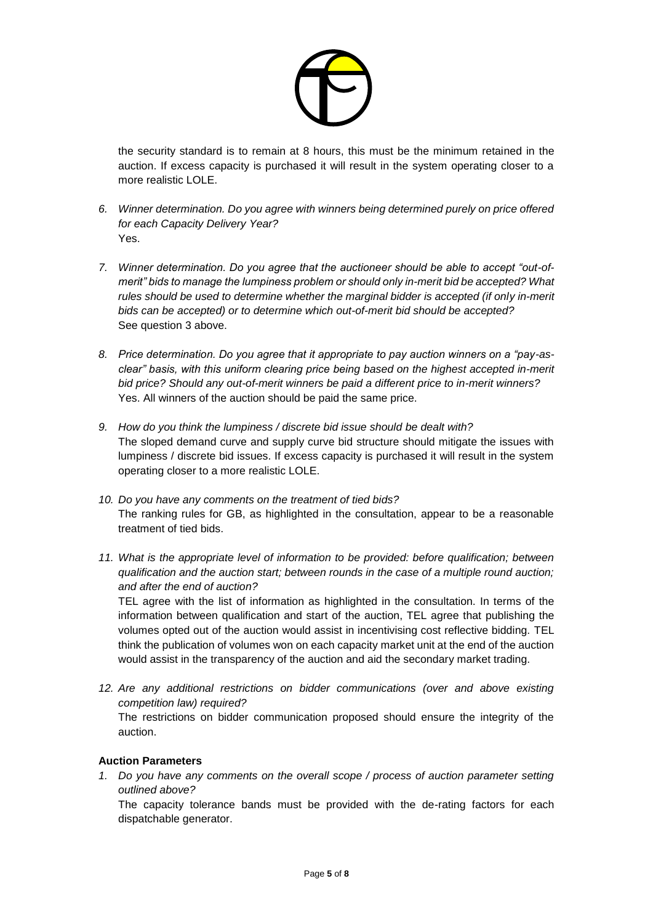

the security standard is to remain at 8 hours, this must be the minimum retained in the auction. If excess capacity is purchased it will result in the system operating closer to a more realistic LOLE.

- *6. Winner determination. Do you agree with winners being determined purely on price offered for each Capacity Delivery Year?* Yes.
- *7. Winner determination. Do you agree that the auctioneer should be able to accept "out-ofmerit" bids to manage the lumpiness problem or should only in-merit bid be accepted? What rules should be used to determine whether the marginal bidder is accepted (if only in-merit bids can be accepted) or to determine which out-of-merit bid should be accepted?* See question 3 above.
- *8. Price determination. Do you agree that it appropriate to pay auction winners on a "pay-asclear" basis, with this uniform clearing price being based on the highest accepted in-merit bid price? Should any out-of-merit winners be paid a different price to in-merit winners?* Yes. All winners of the auction should be paid the same price.
- *9. How do you think the lumpiness / discrete bid issue should be dealt with?* The sloped demand curve and supply curve bid structure should mitigate the issues with lumpiness / discrete bid issues. If excess capacity is purchased it will result in the system operating closer to a more realistic LOLE.
- *10. Do you have any comments on the treatment of tied bids?* The ranking rules for GB, as highlighted in the consultation, appear to be a reasonable treatment of tied bids.
- 11. What is the appropriate level of information to be provided: before qualification; between *qualification and the auction start; between rounds in the case of a multiple round auction; and after the end of auction?*

TEL agree with the list of information as highlighted in the consultation. In terms of the information between qualification and start of the auction, TEL agree that publishing the volumes opted out of the auction would assist in incentivising cost reflective bidding. TEL think the publication of volumes won on each capacity market unit at the end of the auction would assist in the transparency of the auction and aid the secondary market trading.

*12. Are any additional restrictions on bidder communications (over and above existing competition law) required?*

The restrictions on bidder communication proposed should ensure the integrity of the auction.

# **Auction Parameters**

*1. Do you have any comments on the overall scope / process of auction parameter setting outlined above?*

The capacity tolerance bands must be provided with the de-rating factors for each dispatchable generator.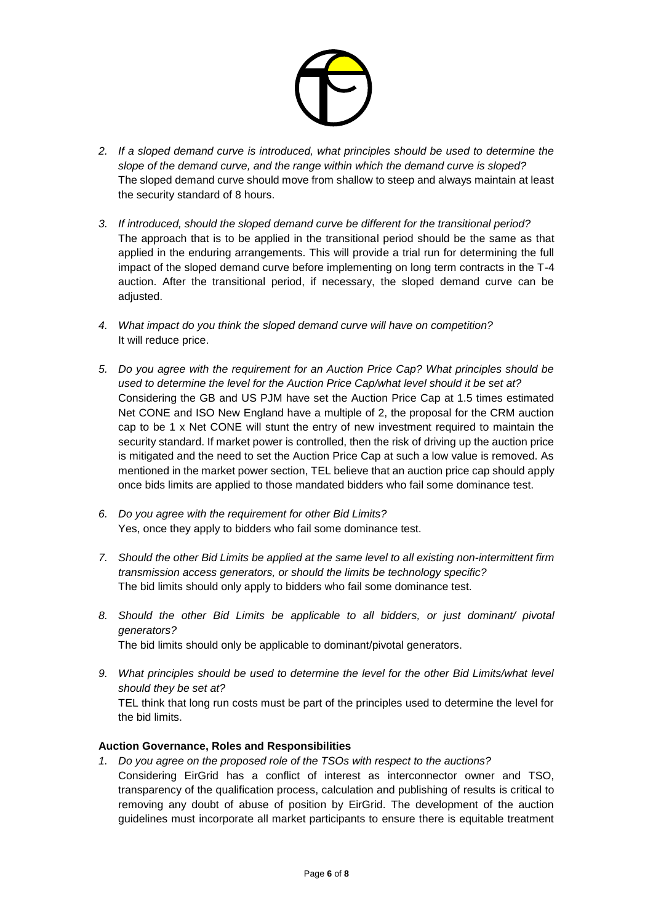

- *2. If a sloped demand curve is introduced, what principles should be used to determine the slope of the demand curve, and the range within which the demand curve is sloped?* The sloped demand curve should move from shallow to steep and always maintain at least the security standard of 8 hours.
- *3. If introduced, should the sloped demand curve be different for the transitional period?* The approach that is to be applied in the transitional period should be the same as that applied in the enduring arrangements. This will provide a trial run for determining the full impact of the sloped demand curve before implementing on long term contracts in the T-4 auction. After the transitional period, if necessary, the sloped demand curve can be adjusted.
- *4. What impact do you think the sloped demand curve will have on competition?* It will reduce price.
- *5. Do you agree with the requirement for an Auction Price Cap? What principles should be used to determine the level for the Auction Price Cap/what level should it be set at?* Considering the GB and US PJM have set the Auction Price Cap at 1.5 times estimated Net CONE and ISO New England have a multiple of 2, the proposal for the CRM auction cap to be 1 x Net CONE will stunt the entry of new investment required to maintain the security standard. If market power is controlled, then the risk of driving up the auction price is mitigated and the need to set the Auction Price Cap at such a low value is removed. As mentioned in the market power section, TEL believe that an auction price cap should apply once bids limits are applied to those mandated bidders who fail some dominance test.
- *6. Do you agree with the requirement for other Bid Limits?* Yes, once they apply to bidders who fail some dominance test.
- *7. Should the other Bid Limits be applied at the same level to all existing non-intermittent firm transmission access generators, or should the limits be technology specific?* The bid limits should only apply to bidders who fail some dominance test.
- *8. Should the other Bid Limits be applicable to all bidders, or just dominant/ pivotal generators?* The bid limits should only be applicable to dominant/pivotal generators.
- *9. What principles should be used to determine the level for the other Bid Limits/what level should they be set at?* TEL think that long run costs must be part of the principles used to determine the level for the bid limits.

### **Auction Governance, Roles and Responsibilities**

*1. Do you agree on the proposed role of the TSOs with respect to the auctions?* Considering EirGrid has a conflict of interest as interconnector owner and TSO, transparency of the qualification process, calculation and publishing of results is critical to removing any doubt of abuse of position by EirGrid. The development of the auction guidelines must incorporate all market participants to ensure there is equitable treatment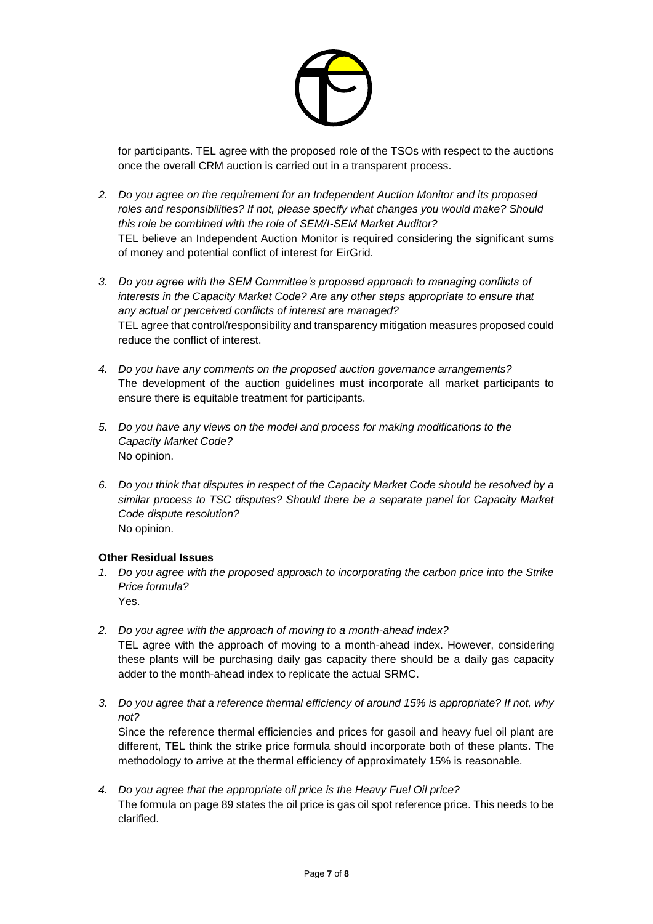

for participants. TEL agree with the proposed role of the TSOs with respect to the auctions once the overall CRM auction is carried out in a transparent process.

- *2. Do you agree on the requirement for an Independent Auction Monitor and its proposed roles and responsibilities? If not, please specify what changes you would make? Should this role be combined with the role of SEM/I-SEM Market Auditor?* TEL believe an Independent Auction Monitor is required considering the significant sums of money and potential conflict of interest for EirGrid.
- *3. Do you agree with the SEM Committee's proposed approach to managing conflicts of interests in the Capacity Market Code? Are any other steps appropriate to ensure that any actual or perceived conflicts of interest are managed?* TEL agree that control/responsibility and transparency mitigation measures proposed could reduce the conflict of interest.
- *4. Do you have any comments on the proposed auction governance arrangements?* The development of the auction guidelines must incorporate all market participants to ensure there is equitable treatment for participants.
- *5. Do you have any views on the model and process for making modifications to the Capacity Market Code?* No opinion.
- *6. Do you think that disputes in respect of the Capacity Market Code should be resolved by a similar process to TSC disputes? Should there be a separate panel for Capacity Market Code dispute resolution?* No opinion.

### **Other Residual Issues**

- *1. Do you agree with the proposed approach to incorporating the carbon price into the Strike Price formula?* Yes.
- *2. Do you agree with the approach of moving to a month-ahead index?* TEL agree with the approach of moving to a month-ahead index. However, considering these plants will be purchasing daily gas capacity there should be a daily gas capacity adder to the month-ahead index to replicate the actual SRMC.
- *3. Do you agree that a reference thermal efficiency of around 15% is appropriate? If not, why not?*

Since the reference thermal efficiencies and prices for gasoil and heavy fuel oil plant are different, TEL think the strike price formula should incorporate both of these plants. The methodology to arrive at the thermal efficiency of approximately 15% is reasonable.

*4. Do you agree that the appropriate oil price is the Heavy Fuel Oil price?* The formula on page 89 states the oil price is gas oil spot reference price. This needs to be clarified.